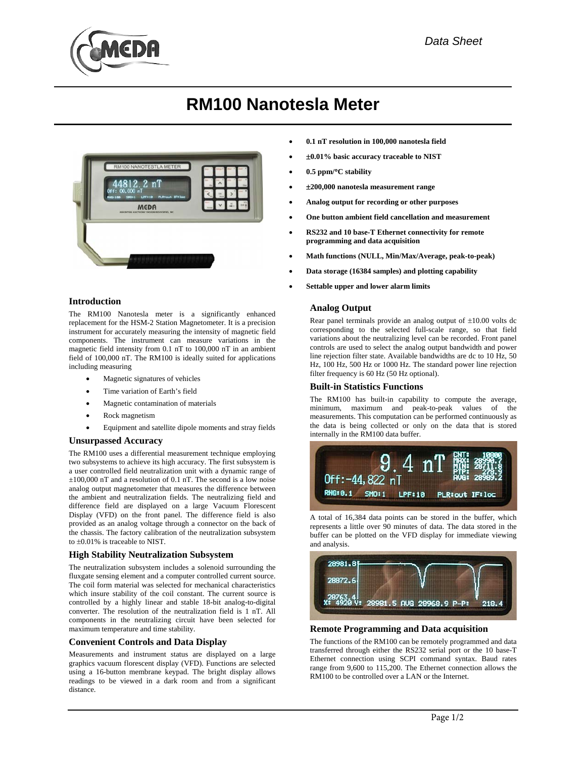

# **RM100 Nanotesla Meter**



# **Introduction**

The RM100 Nanotesla meter is a significantly enhanced replacement for the HSM-2 Station Magnetometer. It is a precision instrument for accurately measuring the intensity of magnetic field components. The instrument can measure variations in the magnetic field intensity from 0.1 nT to 100,000 nT in an ambient field of 100,000 nT. The RM100 is ideally suited for applications including measuring

- Magnetic signatures of vehicles
- Time variation of Earth's field
- Magnetic contamination of materials
- Rock magnetism
- Equipment and satellite dipole moments and stray fields

## **Unsurpassed Accuracy**

The RM100 uses a differential measurement technique employing two subsystems to achieve its high accuracy. The first subsystem is a user controlled field neutralization unit with a dynamic range of  $\pm 100,000$  nT and a resolution of 0.1 nT. The second is a low noise analog output magnetometer that measures the difference between the ambient and neutralization fields. The neutralizing field and difference field are displayed on a large Vacuum Florescent Display (VFD) on the front panel. The difference field is also provided as an analog voltage through a connector on the back of the chassis. The factory calibration of the neutralization subsystem to ±0.01% is traceable to NIST.

## **High Stability Neutralization Subsystem**

The neutralization subsystem includes a solenoid surrounding the fluxgate sensing element and a computer controlled current source. The coil form material was selected for mechanical characteristics which insure stability of the coil constant. The current source is controlled by a highly linear and stable 18-bit analog-to-digital converter. The resolution of the neutralization field is 1 nT. All components in the neutralizing circuit have been selected for maximum temperature and time stability.

## **Convenient Controls and Data Display**

Measurements and instrument status are displayed on a large graphics vacuum florescent display (VFD). Functions are selected using a 16-button membrane keypad. The bright display allows readings to be viewed in a dark room and from a significant distance.

- **0.1 nT resolution in 100,000 nanotesla field**
- ±**0.01% basic accuracy traceable to NIST**
- **0.5 ppm/**°**C stability**
- ±**200,000 nanotesla measurement range**
- **Analog output for recording or other purposes**
- **One button ambient field cancellation and measurement**
- **RS232 and 10 base-T Ethernet connectivity for remote programming and data acquisition**
- **Math functions (NULL, Min/Max/Average, peak-to-peak)**
- **Data storage (16384 samples) and plotting capability**
- **Settable upper and lower alarm limits**

# **Analog Output**

Rear panel terminals provide an analog output of ±10.00 volts dc corresponding to the selected full-scale range, so that field variations about the neutralizing level can be recorded. Front panel controls are used to select the analog output bandwidth and power line rejection filter state. Available bandwidths are dc to 10 Hz, 50 Hz, 100 Hz, 500 Hz or 1000 Hz. The standard power line rejection filter frequency is 60 Hz (50 Hz optional).

## **Built-in Statistics Functions**

The RM100 has built-in capability to compute the average, minimum, maximum and peak-to-peak values of the measurements. This computation can be performed continuously as the data is being collected or only on the data that is stored internally in the RM100 data buffer.



A total of 16,384 data points can be stored in the buffer, which represents a little over 90 minutes of data. The data stored in the buffer can be plotted on the VFD display for immediate viewing and analysis.



## **Remote Programming and Data acquisition**

The functions of the RM100 can be remotely programmed and data transferred through either the RS232 serial port or the 10 base-T Ethernet connection using SCPI command syntax. Baud rates range from 9,600 to 115,200. The Ethernet connection allows the RM100 to be controlled over a LAN or the Internet.